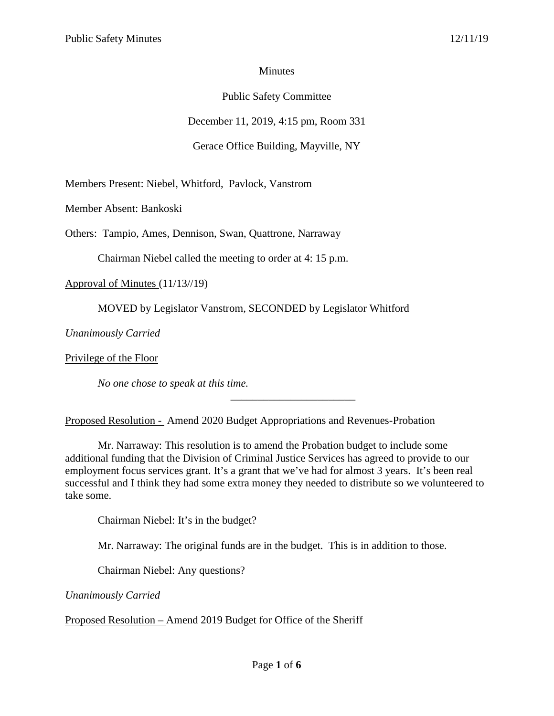# **Minutes**

# Public Safety Committee

December 11, 2019, 4:15 pm, Room 331

Gerace Office Building, Mayville, NY

Members Present: Niebel, Whitford, Pavlock, Vanstrom

Member Absent: Bankoski

Others: Tampio, Ames, Dennison, Swan, Quattrone, Narraway

Chairman Niebel called the meeting to order at 4: 15 p.m.

Approval of Minutes (11/13//19)

MOVED by Legislator Vanstrom, SECONDED by Legislator Whitford

*Unanimously Carried*

Privilege of the Floor

*No one chose to speak at this time.*

Proposed Resolution - Amend 2020 Budget Appropriations and Revenues-Probation

Mr. Narraway: This resolution is to amend the Probation budget to include some additional funding that the Division of Criminal Justice Services has agreed to provide to our employment focus services grant. It's a grant that we've had for almost 3 years. It's been real successful and I think they had some extra money they needed to distribute so we volunteered to take some.

\_\_\_\_\_\_\_\_\_\_\_\_\_\_\_\_\_\_\_\_\_\_\_

Chairman Niebel: It's in the budget?

Mr. Narraway: The original funds are in the budget. This is in addition to those.

Chairman Niebel: Any questions?

*Unanimously Carried*

Proposed Resolution – Amend 2019 Budget for Office of the Sheriff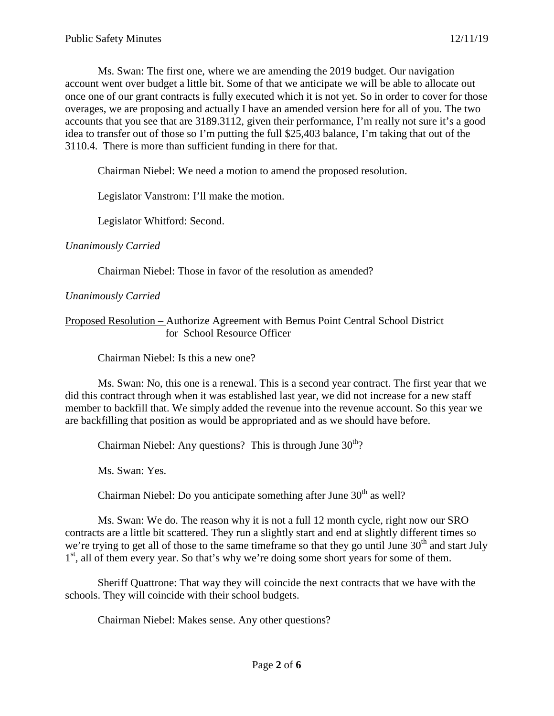Ms. Swan: The first one, where we are amending the 2019 budget. Our navigation account went over budget a little bit. Some of that we anticipate we will be able to allocate out once one of our grant contracts is fully executed which it is not yet. So in order to cover for those overages, we are proposing and actually I have an amended version here for all of you. The two accounts that you see that are 3189.3112, given their performance, I'm really not sure it's a good idea to transfer out of those so I'm putting the full \$25,403 balance, I'm taking that out of the 3110.4. There is more than sufficient funding in there for that.

Chairman Niebel: We need a motion to amend the proposed resolution.

Legislator Vanstrom: I'll make the motion.

Legislator Whitford: Second.

*Unanimously Carried*

Chairman Niebel: Those in favor of the resolution as amended?

### *Unanimously Carried*

## Proposed Resolution – Authorize Agreement with Bemus Point Central School District for School Resource Officer

Chairman Niebel: Is this a new one?

Ms. Swan: No, this one is a renewal. This is a second year contract. The first year that we did this contract through when it was established last year, we did not increase for a new staff member to backfill that. We simply added the revenue into the revenue account. So this year we are backfilling that position as would be appropriated and as we should have before.

Chairman Niebel: Any questions? This is through June  $30<sup>th</sup>$ ?

Ms. Swan: Yes.

Chairman Niebel: Do you anticipate something after June  $30<sup>th</sup>$  as well?

Ms. Swan: We do. The reason why it is not a full 12 month cycle, right now our SRO contracts are a little bit scattered. They run a slightly start and end at slightly different times so we're trying to get all of those to the same timeframe so that they go until June  $30<sup>th</sup>$  and start July 1<sup>st</sup>, all of them every year. So that's why we're doing some short years for some of them.

Sheriff Quattrone: That way they will coincide the next contracts that we have with the schools. They will coincide with their school budgets.

Chairman Niebel: Makes sense. Any other questions?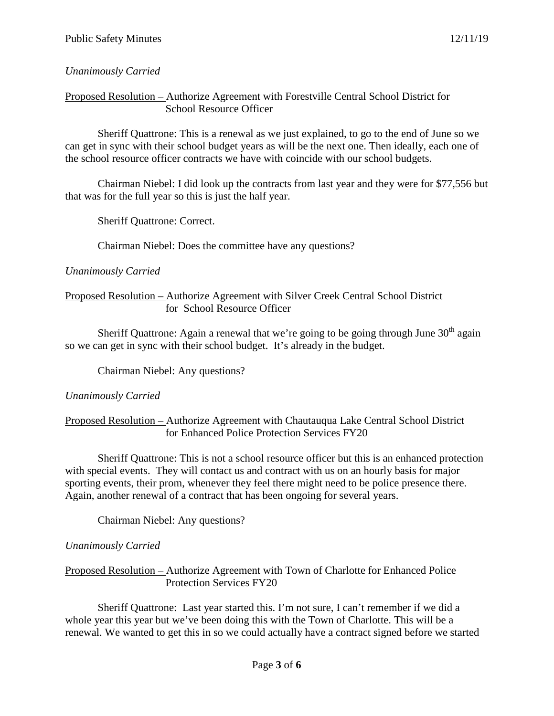## *Unanimously Carried*

Proposed Resolution – Authorize Agreement with Forestville Central School District for School Resource Officer

Sheriff Quattrone: This is a renewal as we just explained, to go to the end of June so we can get in sync with their school budget years as will be the next one. Then ideally, each one of the school resource officer contracts we have with coincide with our school budgets.

Chairman Niebel: I did look up the contracts from last year and they were for \$77,556 but that was for the full year so this is just the half year.

Sheriff Quattrone: Correct.

Chairman Niebel: Does the committee have any questions?

### *Unanimously Carried*

### Proposed Resolution – Authorize Agreement with Silver Creek Central School District for School Resource Officer

Sheriff Quattrone: Again a renewal that we're going to be going through June  $30<sup>th</sup>$  again so we can get in sync with their school budget. It's already in the budget.

Chairman Niebel: Any questions?

## *Unanimously Carried*

## Proposed Resolution – Authorize Agreement with Chautauqua Lake Central School District for Enhanced Police Protection Services FY20

Sheriff Quattrone: This is not a school resource officer but this is an enhanced protection with special events. They will contact us and contract with us on an hourly basis for major sporting events, their prom, whenever they feel there might need to be police presence there. Again, another renewal of a contract that has been ongoing for several years.

Chairman Niebel: Any questions?

## *Unanimously Carried*

Proposed Resolution – Authorize Agreement with Town of Charlotte for Enhanced Police Protection Services FY20

Sheriff Quattrone: Last year started this. I'm not sure, I can't remember if we did a whole year this year but we've been doing this with the Town of Charlotte. This will be a renewal. We wanted to get this in so we could actually have a contract signed before we started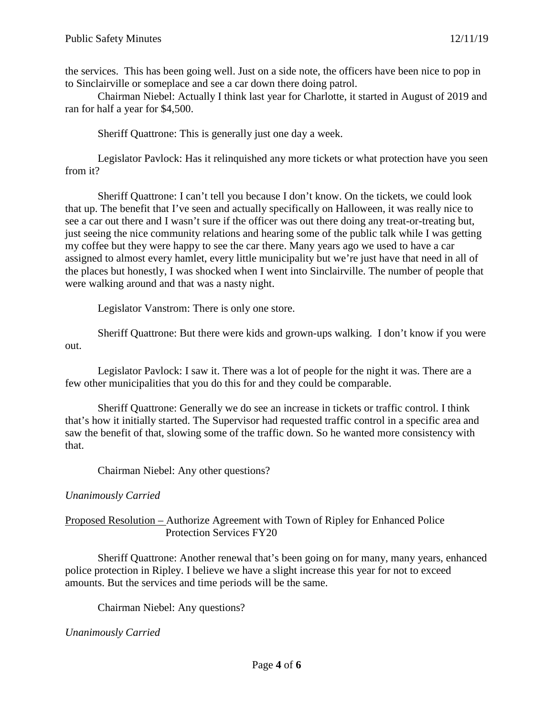the services. This has been going well. Just on a side note, the officers have been nice to pop in to Sinclairville or someplace and see a car down there doing patrol.

Chairman Niebel: Actually I think last year for Charlotte, it started in August of 2019 and ran for half a year for \$4,500.

Sheriff Quattrone: This is generally just one day a week.

Legislator Pavlock: Has it relinquished any more tickets or what protection have you seen from it?

Sheriff Quattrone: I can't tell you because I don't know. On the tickets, we could look that up. The benefit that I've seen and actually specifically on Halloween, it was really nice to see a car out there and I wasn't sure if the officer was out there doing any treat-or-treating but, just seeing the nice community relations and hearing some of the public talk while I was getting my coffee but they were happy to see the car there. Many years ago we used to have a car assigned to almost every hamlet, every little municipality but we're just have that need in all of the places but honestly, I was shocked when I went into Sinclairville. The number of people that were walking around and that was a nasty night.

Legislator Vanstrom: There is only one store.

Sheriff Quattrone: But there were kids and grown-ups walking. I don't know if you were out.

Legislator Pavlock: I saw it. There was a lot of people for the night it was. There are a few other municipalities that you do this for and they could be comparable.

Sheriff Quattrone: Generally we do see an increase in tickets or traffic control. I think that's how it initially started. The Supervisor had requested traffic control in a specific area and saw the benefit of that, slowing some of the traffic down. So he wanted more consistency with that.

Chairman Niebel: Any other questions?

#### *Unanimously Carried*

### Proposed Resolution – Authorize Agreement with Town of Ripley for Enhanced Police Protection Services FY20

Sheriff Quattrone: Another renewal that's been going on for many, many years, enhanced police protection in Ripley. I believe we have a slight increase this year for not to exceed amounts. But the services and time periods will be the same.

Chairman Niebel: Any questions?

#### *Unanimously Carried*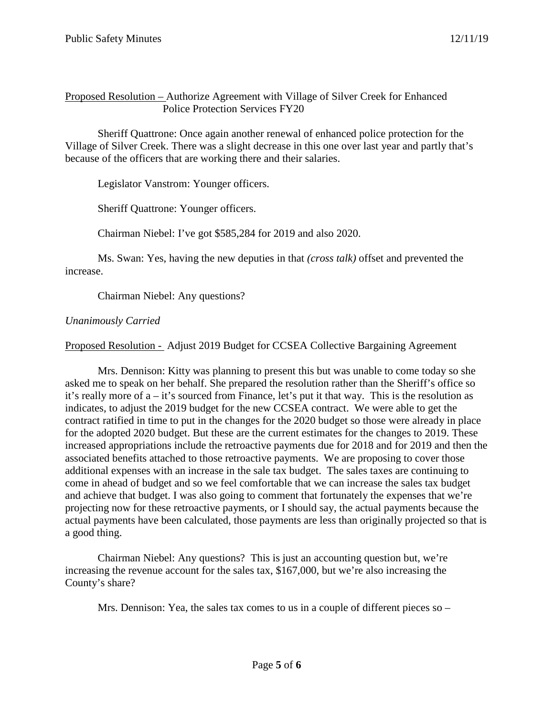## Proposed Resolution – Authorize Agreement with Village of Silver Creek for Enhanced Police Protection Services FY20

Sheriff Quattrone: Once again another renewal of enhanced police protection for the Village of Silver Creek. There was a slight decrease in this one over last year and partly that's because of the officers that are working there and their salaries.

Legislator Vanstrom: Younger officers.

Sheriff Quattrone: Younger officers.

Chairman Niebel: I've got \$585,284 for 2019 and also 2020.

Ms. Swan: Yes, having the new deputies in that *(cross talk)* offset and prevented the increase.

Chairman Niebel: Any questions?

# *Unanimously Carried*

Proposed Resolution - Adjust 2019 Budget for CCSEA Collective Bargaining Agreement

Mrs. Dennison: Kitty was planning to present this but was unable to come today so she asked me to speak on her behalf. She prepared the resolution rather than the Sheriff's office so it's really more of a – it's sourced from Finance, let's put it that way. This is the resolution as indicates, to adjust the 2019 budget for the new CCSEA contract. We were able to get the contract ratified in time to put in the changes for the 2020 budget so those were already in place for the adopted 2020 budget. But these are the current estimates for the changes to 2019. These increased appropriations include the retroactive payments due for 2018 and for 2019 and then the associated benefits attached to those retroactive payments. We are proposing to cover those additional expenses with an increase in the sale tax budget. The sales taxes are continuing to come in ahead of budget and so we feel comfortable that we can increase the sales tax budget and achieve that budget. I was also going to comment that fortunately the expenses that we're projecting now for these retroactive payments, or I should say, the actual payments because the actual payments have been calculated, those payments are less than originally projected so that is a good thing.

Chairman Niebel: Any questions? This is just an accounting question but, we're increasing the revenue account for the sales tax, \$167,000, but we're also increasing the County's share?

Mrs. Dennison: Yea, the sales tax comes to us in a couple of different pieces so –